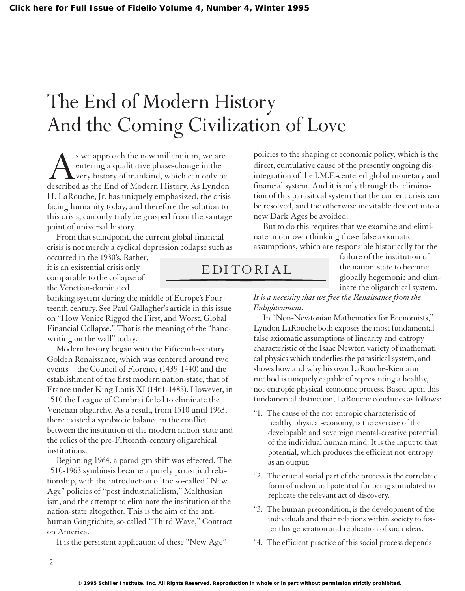## The End of Modern History And the Coming Civilization of Love

s we approach the new millennium, we are<br>entering a qualitative phase-change in the<br>described as the End of Modern History. As Lyndon entering a qualitative phase-change in the very history of mankind, which can only be H. LaRouche, Jr. has uniquely emphasized, the crisis facing humanity today, and therefore the solution to this crisis, can only truly be grasped from the vantage point of universal history.

From that standpoint, the current global financial crisis is not merely a cyclical depression collapse such as

occurred in the 1930's. Rather, it is an existential crisis only comparable to the collapse of the Venetian-dominated

banking system during the middle of Europe's Fourteenth century. See Paul Gallagher's article in this issue on "How Venice Rigged the First, and Worst, Global Financial Collapse." That is the meaning of the "handwriting on the wall" today.

Modern history began with the Fifteenth-century Golden Renaissance, which was centered around two events—the Council of Florence (1439-1440) and the establishment of the first modern nation-state, that of France under King Louis XI (1461-1483). However, in 1510 the League of Cambrai failed to eliminate the Venetian oligarchy. As a result, from 1510 until 1963, there existed a symbiotic balance in the conflict between the institution of the modern nation-state and the relics of the pre-Fifteenth-century oligarchical institutions.

Beginning 1964, a paradigm shift was effected. The 1510-1963 symbiosis became a purely parasitical relationship, with the introduction of the so-called "New Age" policies of "post-industrialialism," Malthusianism, and the attempt to eliminate the institution of the nation-state altogether. This is the aim of the antihuman Gingrichite, so-called "Third Wave," Contract on America.

It is the persistent application of these "New Age"

policies to the shaping of economic policy, which is the direct, cumulative cause of the presently ongoing disintegration of the I.M.F.-centered global monetary and financial system. And it is only through the elimination of this parasitical system that the current crisis can be resolved, and the otherwise inevitable descent into a new Dark Ages be avoided.

But to do this requires that we examine and eliminate in our own thinking those false axiomatic assumptions, which are responsible historically for the

> failure of the institution of the nation-state to become globally hegemonic and eliminate the oligarchical system.

*It is a necessity that we free the Renaissance from the Enlightenment.*

In "Non-Newtonian Mathematics for Economists," Lyndon LaRouche both exposes the most fundamental false axiomatic assumptions of linearity and entropy characteristic of the Isaac Newton variety of mathematical physics which underlies the parasitical system, and shows how and why his own LaRouche-Riemann method is uniquely capable of representing a healthy, not-entropic physical-economic process. Based upon this fundamental distinction, LaRouche concludes as follows:

- "1. The cause of the not-entropic characteristic of healthy physical-economy, is the exercise of the developable and sovereign mental-creative potential of the individual human mind. It is the input to that potential, which produces the efficient not-entropy as an output.
- "2. The crucial social part of the process is the correlated form of individual potential for being stimulated to replicate the relevant act of discovery.
- "3. The human precondition, is the development of the individuals and their relations within society to foster this generation and replication of such ideas.
- "4. The efficient practice of this social process depends

EDITORIAL